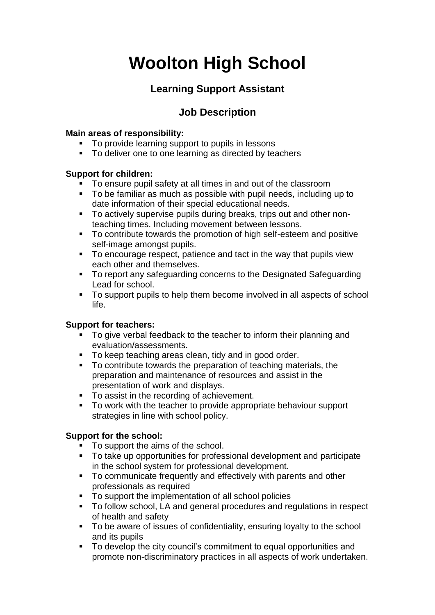# **Woolton High School**

### **Learning Support Assistant**

### **Job Description**

#### **Main areas of responsibility:**

- To provide learning support to pupils in lessons
- To deliver one to one learning as directed by teachers

#### **Support for children:**

- To ensure pupil safety at all times in and out of the classroom
- To be familiar as much as possible with pupil needs, including up to date information of their special educational needs.
- To actively supervise pupils during breaks, trips out and other nonteaching times. Including movement between lessons.
- To contribute towards the promotion of high self-esteem and positive self-image amongst pupils.
- To encourage respect, patience and tact in the way that pupils view each other and themselves.
- To report any safeguarding concerns to the Designated Safeguarding Lead for school.
- To support pupils to help them become involved in all aspects of school life.

#### **Support for teachers:**

- To give verbal feedback to the teacher to inform their planning and evaluation/assessments.
- To keep teaching areas clean, tidy and in good order.
- To contribute towards the preparation of teaching materials, the preparation and maintenance of resources and assist in the presentation of work and displays.
- To assist in the recording of achievement.
- To work with the teacher to provide appropriate behaviour support strategies in line with school policy.

#### **Support for the school:**

- To support the aims of the school.
- To take up opportunities for professional development and participate in the school system for professional development.
- To communicate frequently and effectively with parents and other professionals as required
- To support the implementation of all school policies
- To follow school, LA and general procedures and regulations in respect of health and safety
- To be aware of issues of confidentiality, ensuring loyalty to the school and its pupils
- To develop the city council's commitment to equal opportunities and promote non-discriminatory practices in all aspects of work undertaken.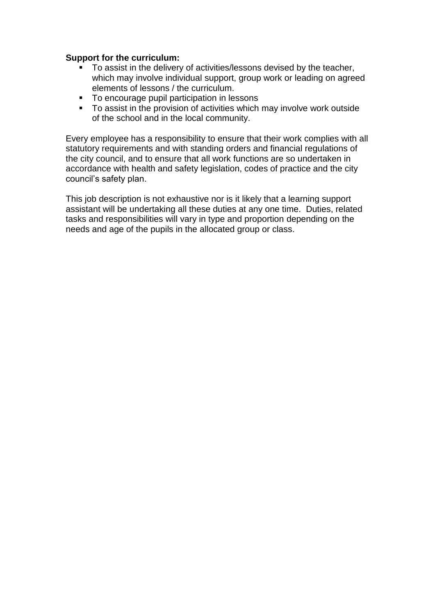#### **Support for the curriculum:**

- To assist in the delivery of activities/lessons devised by the teacher, which may involve individual support, group work or leading on agreed elements of lessons / the curriculum.
- To encourage pupil participation in lessons
- To assist in the provision of activities which may involve work outside of the school and in the local community.

Every employee has a responsibility to ensure that their work complies with all statutory requirements and with standing orders and financial regulations of the city council, and to ensure that all work functions are so undertaken in accordance with health and safety legislation, codes of practice and the city council's safety plan.

This job description is not exhaustive nor is it likely that a learning support assistant will be undertaking all these duties at any one time. Duties, related tasks and responsibilities will vary in type and proportion depending on the needs and age of the pupils in the allocated group or class.